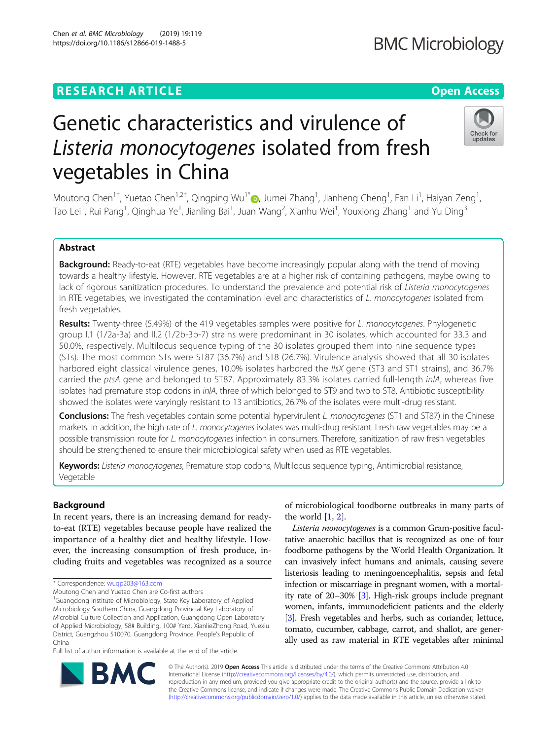## **RESEARCH ARTICLE Example 2018 12:30 THE Open Access**

# Genetic characteristics and virulence of Listeria monocytogenes isolated from fresh vegetables in China

Moutong Chen<sup>1†</sup>[,](http://orcid.org/0000-0001-6503-359X) Yuetao Chen<sup>1,2†</sup>, Qingping Wu<sup>1\*</sup>®, Jumei Zhang<sup>1</sup>, Jianheng Cheng<sup>1</sup>, Fan Li<sup>1</sup>, Haiyan Zeng<sup>1</sup> , Tao Lei<sup>1</sup>, Rui Pang<sup>1</sup>, Qinghua Ye<sup>1</sup>, Jianling Bai<sup>1</sup>, Juan Wang<sup>2</sup>, Xianhu Wei<sup>1</sup>, Youxiong Zhang<sup>1</sup> and Yu Ding<sup>3</sup>

### Abstract

Background: Ready-to-eat (RTE) vegetables have become increasingly popular along with the trend of moving towards a healthy lifestyle. However, RTE vegetables are at a higher risk of containing pathogens, maybe owing to lack of rigorous sanitization procedures. To understand the prevalence and potential risk of Listeria monocytogenes in RTE vegetables, we investigated the contamination level and characteristics of  $L$ . monocytogenes isolated from fresh vegetables.

Results: Twenty-three (5.49%) of the 419 vegetables samples were positive for L. monocytogenes. Phylogenetic group I.1 (1/2a-3a) and II.2 (1/2b-3b-7) strains were predominant in 30 isolates, which accounted for 33.3 and 50.0%, respectively. Multilocus sequence typing of the 30 isolates grouped them into nine sequence types (STs). The most common STs were ST87 (36.7%) and ST8 (26.7%). Virulence analysis showed that all 30 isolates harbored eight classical virulence genes, 10.0% isolates harbored the IIsX gene (ST3 and ST1 strains), and 36.7% carried the ptsA gene and belonged to ST87. Approximately 83.3% isolates carried full-length inlA, whereas five isolates had premature stop codons in inlA, three of which belonged to ST9 and two to ST8. Antibiotic susceptibility showed the isolates were varyingly resistant to 13 antibiotics, 26.7% of the isolates were multi-drug resistant.

**Conclusions:** The fresh vegetables contain some potential hypervirulent L. monocytogenes (ST1 and ST87) in the Chinese markets. In addition, the high rate of L. monocytogenes isolates was multi-drug resistant. Fresh raw vegetables may be a possible transmission route for L. monocytogenes infection in consumers. Therefore, sanitization of raw fresh vegetables should be strengthened to ensure their microbiological safety when used as RTE vegetables.

Keywords: Listeria monocytogenes, Premature stop codons, Multilocus sequence typing, Antimicrobial resistance, Vegetable

#### Background

In recent years, there is an increasing demand for readyto-eat (RTE) vegetables because people have realized the importance of a healthy diet and healthy lifestyle. However, the increasing consumption of fresh produce, including fruits and vegetables was recognized as a source

\* Correspondence: [wuqp203@163.com](mailto:wuqp203@163.com)

Moutong Chen and Yuetao Chen are Co-first authors

<sup>1</sup>Guangdong Institute of Microbiology, State Key Laboratory of Applied Microbiology Southern China, Guangdong Provincial Key Laboratory of Microbial Culture Collection and Application, Guangdong Open Laboratory of Applied Microbiology, 58# Building, 100# Yard, XianlieZhong Road, Yuexiu District, Guangzhou 510070, Guangdong Province, People's Republic of China

Full list of author information is available at the end of the article

of microbiological foodborne outbreaks in many parts of the world  $[1, 2]$  $[1, 2]$  $[1, 2]$ .

Listeria monocytogenes is a common Gram-positive facultative anaerobic bacillus that is recognized as one of four foodborne pathogens by the World Health Organization. It can invasively infect humans and animals, causing severe listeriosis leading to meningoencephalitis, sepsis and fetal infection or miscarriage in pregnant women, with a mortality rate of 20–30% [\[3](#page-7-0)]. High-risk groups include pregnant women, infants, immunodeficient patients and the elderly [[3](#page-7-0)]. Fresh vegetables and herbs, such as coriander, lettuce, tomato, cucumber, cabbage, carrot, and shallot, are generally used as raw material in RTE vegetables after minimal

© The Author(s). 2019 Open Access This article is distributed under the terms of the Creative Commons Attribution 4.0 International License [\(http://creativecommons.org/licenses/by/4.0/](http://creativecommons.org/licenses/by/4.0/)), which permits unrestricted use, distribution, and reproduction in any medium, provided you give appropriate credit to the original author(s) and the source, provide a link to the Creative Commons license, and indicate if changes were made. The Creative Commons Public Domain Dedication waiver [\(http://creativecommons.org/publicdomain/zero/1.0/](http://creativecommons.org/publicdomain/zero/1.0/)) applies to the data made available in this article, unless otherwise stated.







RA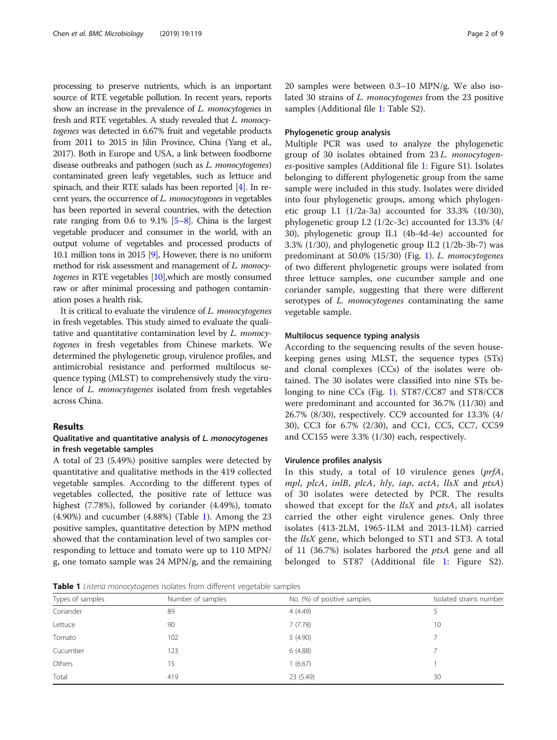<span id="page-1-0"></span>processing to preserve nutrients, which is an important source of RTE vegetable pollution. In recent years, reports show an increase in the prevalence of *L. monocytogenes* in fresh and RTE vegetables. A study revealed that L. monocytogenes was detected in 6.67% fruit and vegetable products from 2011 to 2015 in Jilin Province, China (Yang et al., 2017). Both in Europe and USA, a link between foodborne disease outbreaks and pathogen (such as L. monocytogenes) contaminated green leafy vegetables, such as lettuce and spinach, and their RTE salads has been reported [\[4\]](#page-7-0). In recent years, the occurrence of L. monocytogenes in vegetables has been reported in several countries, with the detection rate ranging from 0.6 to 9.1% [\[5](#page-7-0)–[8](#page-7-0)]. China is the largest vegetable producer and consumer in the world, with an output volume of vegetables and processed products of 10.1 million tons in 2015 [\[9](#page-7-0)], However, there is no uniform method for risk assessment and management of L. monocytogenes in RTE vegetables [\[10\]](#page-7-0),which are mostly consumed raw or after minimal processing and pathogen contamination poses a health risk.

It is critical to evaluate the virulence of L. monocytogenes in fresh vegetables. This study aimed to evaluate the qualitative and quantitative contamination level by L. monocytogenes in fresh vegetables from Chinese markets. We determined the phylogenetic group, virulence profiles, and antimicrobial resistance and performed multilocus sequence typing (MLST) to comprehensively study the virulence of L. monocytogenes isolated from fresh vegetables across China.

#### Results

#### Qualitative and quantitative analysis of L. monocytogenes in fresh vegetable samples

A total of 23 (5.49%) positive samples were detected by quantitative and qualitative methods in the 419 collected vegetable samples. According to the different types of vegetables collected, the positive rate of lettuce was highest (7.78%), followed by coriander (4.49%), tomato (4.90%) and cucumber (4.88%) (Table 1). Among the 23 positive samples, quantitative detection by MPN method showed that the contamination level of two samples corresponding to lettuce and tomato were up to 110 MPN/ g, one tomato sample was 24 MPN/g, and the remaining 20 samples were between 0.3–10 MPN/g. We also isolated 30 strains of L. monocytogenes from the 23 positive samples (Additional file [1](#page-6-0): Table S2).

#### Phylogenetic group analysis

Multiple PCR was used to analyze the phylogenetic group of 30 isolates obtained from 23 L. monocytogenes-positive samples (Additional file [1:](#page-6-0) Figure S1). Isolates belonging to different phylogenetic group from the same sample were included in this study. Isolates were divided into four phylogenetic groups, among which phylogenetic group I.1 (1/2a-3a) accounted for 33.3% (10/30), phylogenetic group I.2 (1/2c-3c) accounted for 13.3% (4/ 30), phylogenetic group II.1 (4b-4d-4e) accounted for 3.3% (1/30), and phylogenetic group II.2 (1/2b-3b-7) was predominant at 50.0% (15/30) (Fig. [1\)](#page-2-0). L. monocytogenes of two different phylogenetic groups were isolated from three lettuce samples, one cucumber sample and one coriander sample, suggesting that there were different serotypes of *L. monocytogenes* contaminating the same vegetable sample.

#### Multilocus sequence typing analysis

According to the sequencing results of the seven housekeeping genes using MLST, the sequence types (STs) and clonal complexes (CCs) of the isolates were obtained. The 30 isolates were classified into nine STs belonging to nine CCs (Fig. [1](#page-2-0)). ST87/CC87 and ST8/CC8 were predominant and accounted for 36.7% (11/30) and 26.7% (8/30), respectively. CC9 accounted for 13.3% (4/ 30), CC3 for 6.7% (2/30), and CC1, CC5, CC7, CC59 and CC155 were 3.3% (1/30) each, respectively.

#### Virulence profiles analysis

In this study, a total of 10 virulence genes (prfA, mpl, plcA, inlB, plcA, hly, iap, actA, llsX and ptsA) of 30 isolates were detected by PCR. The results showed that except for the  $llsX$  and  $ptsA$ , all isolates carried the other eight virulence genes. Only three isolates (413-2LM, 1965-1LM and 2013-1LM) carried the *llsX* gene, which belonged to ST1 and ST3. A total of 11 (36.7%) isolates harbored the ptsA gene and all belonged to ST87 (Additional file [1](#page-6-0): Figure S2).

Table 1 Listeria monocytogenes isolates from different vegetable samples

|                  | $\tilde{}$        |                             |                         |  |  |
|------------------|-------------------|-----------------------------|-------------------------|--|--|
| Types of samples | Number of samples | No. (%) of positive samples | Isolated strains number |  |  |
| Coriander        | 89                | 4(4.49)                     |                         |  |  |
| Lettuce          | 90                | 7(7.78)                     | 10                      |  |  |
| Tomato           | 102               | 5(4.90)                     |                         |  |  |
| Cucumber         | 123               | 6(4.88)                     |                         |  |  |
| Others           | 15                | 1(6.67)                     |                         |  |  |
| Total            | 419               | 23 (5.49)                   | 30                      |  |  |
|                  |                   |                             |                         |  |  |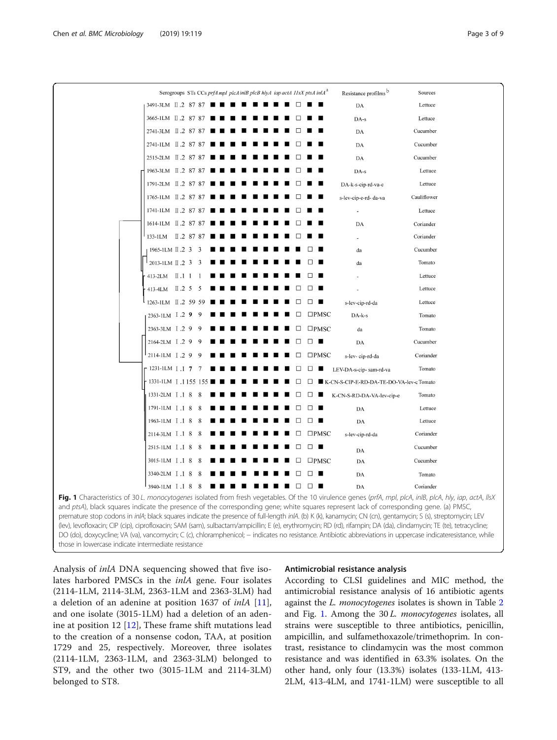<span id="page-2-0"></span>

|                                                                                                                                                                                                                                                                                                                                                                                                                                                                                                                                                                                                                                              |     | Serogroups STs CCs prfA mpl plcAinlB plcB hlyA iap actA 11sX ptsA inlA <sup>a</sup> |              |                | Resistance profilms b                    | Sources     |
|----------------------------------------------------------------------------------------------------------------------------------------------------------------------------------------------------------------------------------------------------------------------------------------------------------------------------------------------------------------------------------------------------------------------------------------------------------------------------------------------------------------------------------------------------------------------------------------------------------------------------------------------|-----|-------------------------------------------------------------------------------------|--------------|----------------|------------------------------------------|-------------|
| 3491-3LM II.2 87 87 ■                                                                                                                                                                                                                                                                                                                                                                                                                                                                                                                                                                                                                        |     |                                                                                     |              |                | DA                                       | Lettuce     |
| 3665-1LM II.2 87 87                                                                                                                                                                                                                                                                                                                                                                                                                                                                                                                                                                                                                          |     |                                                                                     |              |                | DA-s                                     | Lettuce     |
| 2741-3LM II.2 87 87                                                                                                                                                                                                                                                                                                                                                                                                                                                                                                                                                                                                                          |     |                                                                                     |              |                | DA                                       | Cucumber    |
| 2741-1LM II.2 87 87                                                                                                                                                                                                                                                                                                                                                                                                                                                                                                                                                                                                                          |     |                                                                                     |              |                | DA                                       | Cucumber    |
| 2515-2LM II.2 87 87                                                                                                                                                                                                                                                                                                                                                                                                                                                                                                                                                                                                                          |     |                                                                                     |              |                | DA                                       | Cucumber    |
| 1963-3LM II.2 87 87                                                                                                                                                                                                                                                                                                                                                                                                                                                                                                                                                                                                                          |     |                                                                                     |              |                | DA-s                                     | Lettuce     |
| 1791-2LM II.2 87 87                                                                                                                                                                                                                                                                                                                                                                                                                                                                                                                                                                                                                          |     |                                                                                     |              |                | DA-k-s-cip-rd-va-c                       | Lettuce     |
| 1765-1LM II.2 87 87                                                                                                                                                                                                                                                                                                                                                                                                                                                                                                                                                                                                                          |     |                                                                                     |              |                | s-lev-cip-e-rd- da-va                    | Cauliflower |
| 1741-1LM II.2 87 87                                                                                                                                                                                                                                                                                                                                                                                                                                                                                                                                                                                                                          |     |                                                                                     |              |                |                                          | Lettuce     |
| 1614-1LM II.2 87 87                                                                                                                                                                                                                                                                                                                                                                                                                                                                                                                                                                                                                          |     |                                                                                     |              |                | DA                                       | Coriander   |
| 133-1LM II.2 87 87                                                                                                                                                                                                                                                                                                                                                                                                                                                                                                                                                                                                                           |     |                                                                                     |              |                |                                          | Coriander   |
| 1965-1LM II.2 3 3                                                                                                                                                                                                                                                                                                                                                                                                                                                                                                                                                                                                                            |     |                                                                                     |              |                | da                                       | Cucumber    |
| 2013-1LM II.2 3                                                                                                                                                                                                                                                                                                                                                                                                                                                                                                                                                                                                                              | -3  |                                                                                     |              |                | da                                       | Tomato      |
| 413-2LM $\Box$ 1 1                                                                                                                                                                                                                                                                                                                                                                                                                                                                                                                                                                                                                           |     |                                                                                     |              |                |                                          | Lettuce     |
| 413-4LM II.2 5                                                                                                                                                                                                                                                                                                                                                                                                                                                                                                                                                                                                                               | - 5 |                                                                                     |              |                |                                          | Lettuce     |
| 1263-1LM II.2 59 59                                                                                                                                                                                                                                                                                                                                                                                                                                                                                                                                                                                                                          |     |                                                                                     | □            | □■             | s-lev-cip-rd-da                          | Lettuce     |
| 2363-1LM $\overline{1}$ .2 9                                                                                                                                                                                                                                                                                                                                                                                                                                                                                                                                                                                                                 |     |                                                                                     | □            | $\square$ PMSC | DA-k-s                                   | Tomato      |
| 2363-3LM I.2 9                                                                                                                                                                                                                                                                                                                                                                                                                                                                                                                                                                                                                               |     |                                                                                     |              | $\square$ PMSC | da                                       | Tomato      |
| 2164-2LM I.2 9                                                                                                                                                                                                                                                                                                                                                                                                                                                                                                                                                                                                                               |     |                                                                                     | □            | $\Box$         | DA                                       | Cucumber    |
| 2114-1LM I.2 9                                                                                                                                                                                                                                                                                                                                                                                                                                                                                                                                                                                                                               | -q  |                                                                                     | П            | $\square$ PMSC | s-lev-cip-rd-da                          | Coriander   |
| 1231-1LM $\overline{1}$ , 1 7                                                                                                                                                                                                                                                                                                                                                                                                                                                                                                                                                                                                                |     |                                                                                     | $\mathbf{L}$ | . .            | LEV-DA-s-cip-sam-rd-va                   | Tomato      |
| 1331-1LM [ .1 155 1                                                                                                                                                                                                                                                                                                                                                                                                                                                                                                                                                                                                                          |     |                                                                                     |              |                | K-CN-S-CIP-E-RD-DA-TE-DO-VA-lev-c Tomato |             |
| 1331-2LM I.1 8                                                                                                                                                                                                                                                                                                                                                                                                                                                                                                                                                                                                                               |     |                                                                                     |              |                | K-CN-S-RD-DA-VA-lev-cip-e                | Tomato      |
| 1791-1LM I.1 8                                                                                                                                                                                                                                                                                                                                                                                                                                                                                                                                                                                                                               | -8  |                                                                                     |              |                | DA                                       | Lettuce     |
| 1963-1LM I.1 8                                                                                                                                                                                                                                                                                                                                                                                                                                                                                                                                                                                                                               | - 8 |                                                                                     | П            | П              | DA                                       | Lettuce     |
| 2114-3LM I.1 8                                                                                                                                                                                                                                                                                                                                                                                                                                                                                                                                                                                                                               | -8  |                                                                                     |              | $\square$ PMSC | s-lev-cip-rd-da                          | Coriander   |
| 2515-1LM I.1 8                                                                                                                                                                                                                                                                                                                                                                                                                                                                                                                                                                                                                               | -8  |                                                                                     | П            | $\Box$         | DA                                       | Cucumber    |
| 3015-1LM I.1 8                                                                                                                                                                                                                                                                                                                                                                                                                                                                                                                                                                                                                               | -8  |                                                                                     | □            | $\square$ PMSC | DA                                       | Cucumber    |
| 3340-2LM I.1 8                                                                                                                                                                                                                                                                                                                                                                                                                                                                                                                                                                                                                               | - 8 |                                                                                     |              |                | DA                                       | Tomato      |
| 3940-1LM I.1 8 8                                                                                                                                                                                                                                                                                                                                                                                                                                                                                                                                                                                                                             |     |                                                                                     | $\Box$       | $\Box$         | DA                                       | Coriander   |
| Fig. 1 Characteristics of 30 L. monocytogenes isolated from fresh vegetables. Of the 10 virulence genes (prfA, mpl, plcA, inlB, plcA, hly, iap, actA, llsX<br>and ptsA), black squares indicate the presence of the corresponding gene; white squares represent lack of corresponding gene. (a) PMSC,<br>premature stop codons in inlA; black squares indicate the presence of full-length inlA. (b) K (k), kanamycin; CN (cn), gentamycin; S (s), streptomycin; LEV<br>(lev), levofloxacin; CIP (cip), ciprofloxacin; SAM (sam), sulbactam/ampicillin; E (e), erythromycin; RD (rd), rifampin; DA (da), clindamycin; TE (te), tetracycline; |     |                                                                                     |              |                |                                          |             |
| DO (do), doxycycline; VA (va), vancomycin; C (c), chloramphenicol; - indicates no resistance. Antibiotic abbreviations in uppercase indicateresistance, while                                                                                                                                                                                                                                                                                                                                                                                                                                                                                |     |                                                                                     |              |                |                                          |             |

those in lowercase indicate intermediate resistance

Analysis of inlA DNA sequencing showed that five isolates harbored PMSCs in the inlA gene. Four isolates (2114-1LM, 2114-3LM, 2363-1LM and 2363-3LM) had a deletion of an adenine at position 1637 of inlA [\[11](#page-7-0)], and one isolate (3015-1LM) had a deletion of an adenine at position 12 [\[12\]](#page-7-0), These frame shift mutations lead to the creation of a nonsense codon, TAA, at position 1729 and 25, respectively. Moreover, three isolates (2114-1LM, 2363-1LM, and 2363-3LM) belonged to ST9, and the other two (3015-1LM and 2114-3LM) belonged to ST8.

#### Antimicrobial resistance analysis

According to CLSI guidelines and MIC method, the antimicrobial resistance analysis of 16 antibiotic agents against the L. monocytogenes isolates is shown in Table [2](#page-3-0) and Fig. 1. Among the 30 L. monocytogenes isolates, all strains were susceptible to three antibiotics, penicillin, ampicillin, and sulfamethoxazole/trimethoprim. In contrast, resistance to clindamycin was the most common resistance and was identified in 63.3% isolates. On the other hand, only four (13.3%) isolates (133-1LM, 413- 2LM, 413-4LM, and 1741-1LM) were susceptible to all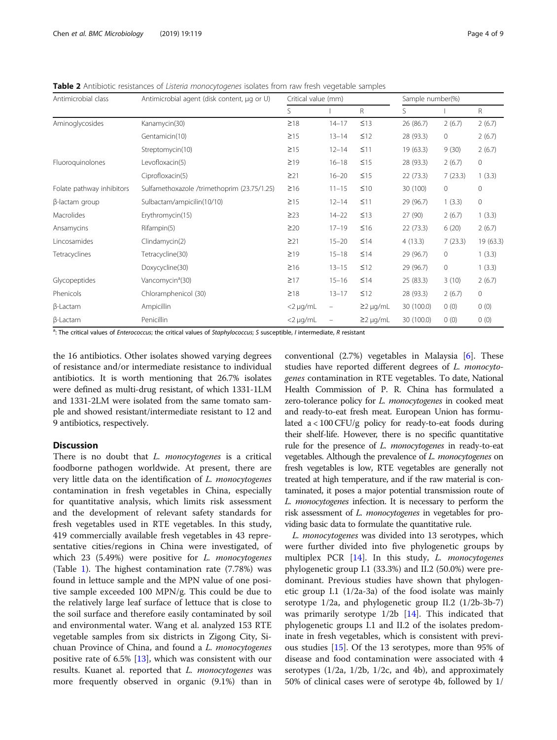<span id="page-3-0"></span>Table 2 Antibiotic resistances of Listeria monocytogenes isolates from raw fresh vegetable samples

| Antimicrobial class       | Antimicrobial agent (disk content, µg or U) | Critical value (mm) |                          |                | Sample number(%) |              |           |
|---------------------------|---------------------------------------------|---------------------|--------------------------|----------------|------------------|--------------|-----------|
|                           |                                             | S                   |                          | R              | S                |              | R.        |
| Aminoglycosides           | Kanamycin(30)                               | $\geq$ 18           | $14 - 17$                | $\leq$ 13      | 26 (86.7)        | 2(6.7)       | 2(6.7)    |
|                           | Gentamicin(10)                              | $\geq$ 15           | $13 - 14$                | $\leq$ 12      | 28 (93.3)        | 0            | 2(6.7)    |
|                           | Streptomycin(10)                            | $\geq$ 15           | $12 - 14$                | $\leq$ 11      | 19 (63.3)        | 9(30)        | 2(6.7)    |
| Fluoroquinolones          | Levofloxacin(5)                             | $\geq$ 19           | $16 - 18$                | $\leq$ 15      | 28 (93.3)        | 2(6.7)       | $\circ$   |
|                           | Ciprofloxacin(5)                            | $\geq$ 21           | $16 - 20$                | $\leq$ 15      | 22(73.3)         | 7(23.3)      | 1(3.3)    |
| Folate pathway inhibitors | Sulfamethoxazole /trimethoprim (23.75/1.25) | $\geq 16$           | $11 - 15$                | $\leq 10$      | 30 (100)         | $\mathbf{0}$ | 0         |
| $\beta$ -lactam group     | Sulbactam/ampicilin(10/10)                  | $\geq$ 15           | $12 - 14$                | $\leq$ 11      | 29 (96.7)        | 1(3.3)       | $\circ$   |
| Macrolides                | Erythromycin(15)                            | $\geq$ 23           | $14 - 22$                | $\leq$ 13      | 27 (90)          | 2(6.7)       | 1(3.3)    |
| Ansamycins                | Rifampin(5)                                 | $\geq$ 20           | $17 - 19$                | $\leq 16$      | 22(73.3)         | 6(20)        | 2(6.7)    |
| Lincosamides              | Clindamycin(2)                              | $\geq$ 21           | $15 - 20$                | $\leq$ 14      | 4(13.3)          | 7(23.3)      | 19 (63.3) |
| Tetracyclines             | Tetracycline(30)                            | $\geq$ 19           | $15 - 18$                | $\leq$ 14      | 29 (96.7)        | 0            | 1(3.3)    |
|                           | Doxycycline(30)                             | $\geq 16$           | $13 - 15$                | $\leq$ 12      | 29 (96.7)        | $\mathbf 0$  | 1(3.3)    |
| Glycopeptides             | Vancomycin <sup>a</sup> (30)                | $\geq$ 17           | $15 - 16$                | $\leq$ 14      | 25 (83.3)        | 3(10)        | 2(6.7)    |
| Phenicols                 | Chloramphenicol (30)                        | $\geq$ 18           | $13 - 17$                | $\leq$ 12      | 28 (93.3)        | 2(6.7)       | $\circ$   |
| $\beta$ -Lactam           | Ampicillin                                  | $<$ 2 µg/mL         | $\overline{\phantom{m}}$ | $\geq$ 2 µg/mL | 30 (100.0)       | 0(0)         | 0(0)      |
| $\beta$ -Lactam           | Penicillin                                  | $<$ 2 µg/mL         | -                        | $\geq$ 2 µg/mL | 30 (100.0)       | 0(0)         | 0(0)      |

<sup>a</sup>: The critical values of *Enterococcus*; the critical values of *Staphylococcus*; S susceptible, *I* intermediate, *R* resistant

the 16 antibiotics. Other isolates showed varying degrees of resistance and/or intermediate resistance to individual antibiotics. It is worth mentioning that 26.7% isolates were defined as multi-drug resistant, of which 1331-1LM and 1331-2LM were isolated from the same tomato sample and showed resistant/intermediate resistant to 12 and 9 antibiotics, respectively.

#### **Discussion**

There is no doubt that *L. monocytogenes* is a critical foodborne pathogen worldwide. At present, there are very little data on the identification of L. monocytogenes contamination in fresh vegetables in China, especially for quantitative analysis, which limits risk assessment and the development of relevant safety standards for fresh vegetables used in RTE vegetables. In this study, 419 commercially available fresh vegetables in 43 representative cities/regions in China were investigated, of which 23 (5.49%) were positive for *L. monocytogenes* (Table [1\)](#page-1-0). The highest contamination rate (7.78%) was found in lettuce sample and the MPN value of one positive sample exceeded 100 MPN/g. This could be due to the relatively large leaf surface of lettuce that is close to the soil surface and therefore easily contaminated by soil and environmental water. Wang et al. analyzed 153 RTE vegetable samples from six districts in Zigong City, Sichuan Province of China, and found a L. monocytogenes positive rate of 6.5% [\[13](#page-7-0)], which was consistent with our results. Kuanet al. reported that *L. monocytogenes* was more frequently observed in organic (9.1%) than in conventional (2.7%) vegetables in Malaysia [\[6](#page-7-0)]. These studies have reported different degrees of L. monocytogenes contamination in RTE vegetables. To date, National Health Commission of P. R. China has formulated a zero-tolerance policy for *L. monocytogenes* in cooked meat and ready-to-eat fresh meat. European Union has formulated a < 100 CFU/g policy for ready-to-eat foods during their shelf-life. However, there is no specific quantitative rule for the presence of *L. monocytogenes* in ready-to-eat vegetables. Although the prevalence of L. monocytogenes on fresh vegetables is low, RTE vegetables are generally not treated at high temperature, and if the raw material is contaminated, it poses a major potential transmission route of L. monocytogenes infection. It is necessary to perform the risk assessment of L. monocytogenes in vegetables for providing basic data to formulate the quantitative rule.

L. monocytogenes was divided into 13 serotypes, which were further divided into five phylogenetic groups by multiplex PCR [\[14](#page-7-0)]. In this study, L. monocytogenes phylogenetic group I.1 (33.3%) and II.2 (50.0%) were predominant. Previous studies have shown that phylogenetic group I.1 (1/2a-3a) of the food isolate was mainly serotype 1/2a, and phylogenetic group II.2 (1/2b-3b-7) was primarily serotype  $1/2b$  [\[14](#page-7-0)]. This indicated that phylogenetic groups I.1 and II.2 of the isolates predominate in fresh vegetables, which is consistent with previous studies [\[15](#page-7-0)]. Of the 13 serotypes, more than 95% of disease and food contamination were associated with 4 serotypes  $(1/2a, 1/2b, 1/2c,$  and 4b), and approximately 50% of clinical cases were of serotype 4b, followed by 1/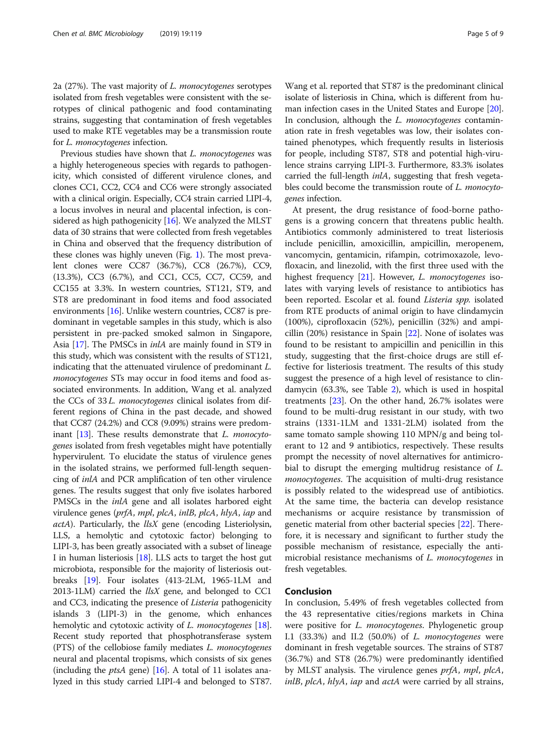2a (27%). The vast majority of L. monocytogenes serotypes isolated from fresh vegetables were consistent with the serotypes of clinical pathogenic and food contaminating strains, suggesting that contamination of fresh vegetables used to make RTE vegetables may be a transmission route for L. monocytogenes infection.

Previous studies have shown that L. monocytogenes was a highly heterogeneous species with regards to pathogenicity, which consisted of different virulence clones, and clones CC1, CC2, CC4 and CC6 were strongly associated with a clinical origin. Especially, CC4 strain carried LIPI-4, a locus involves in neural and placental infection, is considered as high pathogenicity  $[16]$ . We analyzed the MLST data of 30 strains that were collected from fresh vegetables in China and observed that the frequency distribution of these clones was highly uneven (Fig. [1\)](#page-2-0). The most prevalent clones were CC87 (36.7%), CC8 (26.7%), CC9, (13.3%), CC3 (6.7%), and CC1, CC5, CC7, CC59, and CC155 at 3.3%. In western countries, ST121, ST9, and ST8 are predominant in food items and food associated environments [\[16](#page-7-0)]. Unlike western countries, CC87 is predominant in vegetable samples in this study, which is also persistent in pre-packed smoked salmon in Singapore, Asia [\[17\]](#page-7-0). The PMSCs in *inlA* are mainly found in ST9 in this study, which was consistent with the results of ST121, indicating that the attenuated virulence of predominant L. monocytogenes STs may occur in food items and food associated environments. In addition, Wang et al. analyzed the CCs of 33 L. monocytogenes clinical isolates from different regions of China in the past decade, and showed that CC87 (24.2%) and CC8 (9.09%) strains were predom-inant [[13](#page-7-0)]. These results demonstrate that *L. monocyto*genes isolated from fresh vegetables might have potentially hypervirulent. To elucidate the status of virulence genes in the isolated strains, we performed full-length sequencing of inlA and PCR amplification of ten other virulence genes. The results suggest that only five isolates harbored PMSCs in the *inlA* gene and all isolates harbored eight virulence genes (prfA, mpl, plcA, inlB, plcA, hlyA, iap and actA). Particularly, the llsX gene (encoding Listeriolysin, LLS, a hemolytic and cytotoxic factor) belonging to LIPI-3, has been greatly associated with a subset of lineage I in human listeriosis  $[18]$  $[18]$  $[18]$ . LLS acts to target the host gut microbiota, responsible for the majority of listeriosis outbreaks [[19](#page-7-0)]. Four isolates (413-2LM, 1965-1LM and 2013-1LM) carried the *llsX* gene, and belonged to CC1 and CC3, indicating the presence of Listeria pathogenicity islands 3 (LIPI-3) in the genome, which enhances hemolytic and cytotoxic activity of *L. monocytogenes* [[18](#page-7-0)]. Recent study reported that phosphotransferase system (PTS) of the cellobiose family mediates L. monocytogenes neural and placental tropisms, which consists of six genes (including the *ptsA* gene) [\[16\]](#page-7-0). A total of 11 isolates analyzed in this study carried LIPI-4 and belonged to ST87.

Wang et al. reported that ST87 is the predominant clinical isolate of listeriosis in China, which is different from human infection cases in the United States and Europe [[20](#page-7-0)]. In conclusion, although the *L. monocytogenes* contamination rate in fresh vegetables was low, their isolates contained phenotypes, which frequently results in listeriosis for people, including ST87, ST8 and potential high-virulence strains carrying LIPI-3. Furthermore, 83.3% isolates carried the full-length inlA, suggesting that fresh vegetables could become the transmission route of L. monocytogenes infection.

At present, the drug resistance of food-borne pathogens is a growing concern that threatens public health. Antibiotics commonly administered to treat listeriosis include penicillin, amoxicillin, ampicillin, meropenem, vancomycin, gentamicin, rifampin, cotrimoxazole, levofloxacin, and linezolid, with the first three used with the highest frequency [[21\]](#page-7-0). However, *L. monocytogenes* isolates with varying levels of resistance to antibiotics has been reported. Escolar et al. found Listeria spp. isolated from RTE products of animal origin to have clindamycin (100%), ciprofloxacin (52%), penicillin (32%) and ampicillin (20%) resistance in Spain [\[22](#page-7-0)]. None of isolates was found to be resistant to ampicillin and penicillin in this study, suggesting that the first-choice drugs are still effective for listeriosis treatment. The results of this study suggest the presence of a high level of resistance to clindamycin (63.3%, see Table [2](#page-3-0)), which is used in hospital treatments  $[23]$  $[23]$ . On the other hand, 26.7% isolates were found to be multi-drug resistant in our study, with two strains (1331-1LM and 1331-2LM) isolated from the same tomato sample showing 110 MPN/g and being tolerant to 12 and 9 antibiotics, respectively. These results prompt the necessity of novel alternatives for antimicrobial to disrupt the emerging multidrug resistance of L. monocytogenes. The acquisition of multi-drug resistance is possibly related to the widespread use of antibiotics. At the same time, the bacteria can develop resistance mechanisms or acquire resistance by transmission of genetic material from other bacterial species [[22\]](#page-7-0). Therefore, it is necessary and significant to further study the possible mechanism of resistance, especially the antimicrobial resistance mechanisms of L. monocytogenes in fresh vegetables.

#### Conclusion

In conclusion, 5.49% of fresh vegetables collected from the 43 representative cities/regions markets in China were positive for *L. monocytogenes*. Phylogenetic group I.1 (33.3%) and II.2 (50.0%) of L. monocytogenes were dominant in fresh vegetable sources. The strains of ST87 (36.7%) and ST8 (26.7%) were predominantly identified by MLST analysis. The virulence genes *prfA*, *mpl*, *plcA*, inlB, plcA, hlyA, iap and actA were carried by all strains,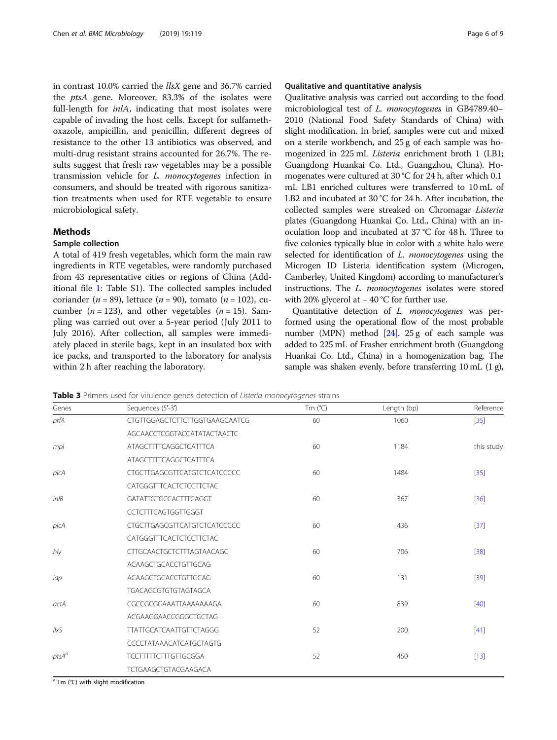<span id="page-5-0"></span>in contrast 10.0% carried the llsX gene and 36.7% carried the ptsA gene. Moreover, 83.3% of the isolates were full-length for *inlA*, indicating that most isolates were capable of invading the host cells. Except for sulfamethoxazole, ampicillin, and penicillin, different degrees of resistance to the other 13 antibiotics was observed, and multi-drug resistant strains accounted for 26.7%. The results suggest that fresh raw vegetables may be a possible transmission vehicle for L. monocytogenes infection in consumers, and should be treated with rigorous sanitization treatments when used for RTE vegetable to ensure microbiological safety.

#### Methods

#### Sample collection

A total of 419 fresh vegetables, which form the main raw ingredients in RTE vegetables, were randomly purchased from 43 representative cities or regions of China (Additional file [1:](#page-6-0) Table S1). The collected samples included coriander ( $n = 89$ ), lettuce ( $n = 90$ ), tomato ( $n = 102$ ), cucumber ( $n = 123$ ), and other vegetables ( $n = 15$ ). Sampling was carried out over a 5-year period (July 2011 to July 2016). After collection, all samples were immediately placed in sterile bags, kept in an insulated box with ice packs, and transported to the laboratory for analysis within 2 h after reaching the laboratory.

#### Qualitative and quantitative analysis

Qualitative analysis was carried out according to the food microbiological test of L. monocytogenes in GB4789.40– 2010 (National Food Safety Standards of China) with slight modification. In brief, samples were cut and mixed on a sterile workbench, and 25 g of each sample was homogenized in 225 mL Listeria enrichment broth 1 (LB1; Guangdong Huankai Co. Ltd., Guangzhou, China). Homogenates were cultured at 30 °C for 24 h, after which 0.1 mL LB1 enriched cultures were transferred to 10 mL of LB2 and incubated at 30 °C for 24 h. After incubation, the collected samples were streaked on Chromagar Listeria plates (Guangdong Huankai Co. Ltd., China) with an inoculation loop and incubated at 37 °C for 48 h. Three to five colonies typically blue in color with a white halo were selected for identification of L. monocytogenes using the Microgen ID Listeria identification system (Microgen, Camberley, United Kingdom) according to manufacturer's instructions. The L. monocytogenes isolates were stored with 20% glycerol at − 40 °C for further use.

Quantitative detection of L. monocytogenes was performed using the operational flow of the most probable number (MPN) method  $[24]$ . 25 g of each sample was added to 225 mL of Frasher enrichment broth (Guangdong Huankai Co. Ltd., China) in a homogenization bag. The sample was shaken evenly, before transferring 10 mL (1 g),

Table 3 Primers used for virulence genes detection of Listeria monocytogenes strains

| Genes                  | Sequences (5'-3')                   | Tm $(^{\circ}C)$ | Length (bp) | Reference  |
|------------------------|-------------------------------------|------------------|-------------|------------|
| prfA                   | CTGTTGGAGCTCTTCTTGGTGAAGCAATCG      | 60               | 1060        | $[35]$     |
|                        | AGCAACCTCGGTACCATATACTAACTC         |                  |             |            |
| mpl                    | <b>ATAGCTTTTCAGGCTCATTTCA</b>       | 60               | 1184        | this study |
|                        | <b>ATAGCTTTTCAGGCTCATTTCA</b>       |                  |             |            |
| $p$ <sub>I</sub> $c$ A | <b>CTGCTTGAGCGTTCATGTCTCATCCCCC</b> | 60               | 1484        | $[35]$     |
|                        | CATGGGTTTCACTCTCCTTCTAC             |                  |             |            |
| $in$ IB                | GATATTGTGCCACTTTCAGGT               | 60               | 367         | $[36]$     |
|                        | CCTCTTTCAGTGGTTGGGT                 |                  |             |            |
| $p$ <sub>I</sub> $c$ A | <b>CTGCTTGAGCGTTCATGTCTCATCCCCC</b> | 60               | 436         | $[37]$     |
|                        | <b>CATGGGTTTCACTCTCCTTCTAC</b>      |                  |             |            |
| hly                    | <b>CTTGCAACTGCTCTTTAGTAACAGC</b>    | 60               | 706         | $[38]$     |
|                        | ACAAGCTGCACCTGTTGCAG                |                  |             |            |
| iap                    | ACAAGCTGCACCTGTTGCAG                | 60               | 131         | $[39]$     |
|                        | TGACAGCGTGTGTAGTAGCA                |                  |             |            |
| actA                   | CGCCGCGGAAATTAAAAAAAGA              | 60               | 839         | $[40]$     |
|                        | ACGAAGGAACCGGGCTGCTAG               |                  |             |            |
| <b>IIxS</b>            | <b>TTATTGCATCAATTGTTCTAGGG</b>      | 52               | 200         | $[41]$     |
|                        | CCCCTATAAACATCATGCTAGTG             |                  |             |            |
| $ptsA^a$               | <b>TCCTTTTTCTTTGTTGCGGA</b>         | 52               | 450         | $[13]$     |
|                        | <b>TCTGAAGCTGTACGAAGACA</b>         |                  |             |            |

<sup>a</sup> Tm (°C) with slight modification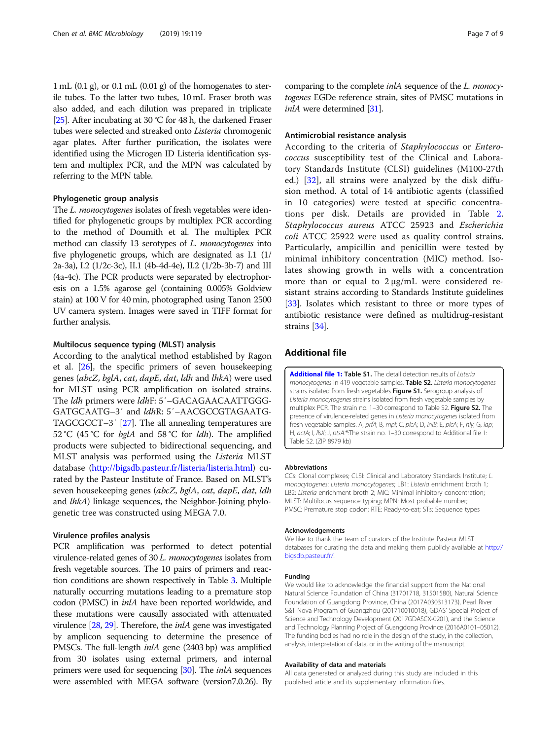<span id="page-6-0"></span> $1 \text{ mL}$  (0.1 g), or 0.1 mL (0.01 g) of the homogenates to sterile tubes. To the latter two tubes, 10 mL Fraser broth was also added, and each dilution was prepared in triplicate [[25](#page-7-0)]. After incubating at 30 °C for 48 h, the darkened Fraser tubes were selected and streaked onto Listeria chromogenic agar plates. After further purification, the isolates were identified using the Microgen ID Listeria identification system and multiplex PCR, and the MPN was calculated by referring to the MPN table.

#### Phylogenetic group analysis

The L. monocytogenes isolates of fresh vegetables were identified for phylogenetic groups by multiplex PCR according to the method of Doumith et al. The multiplex PCR method can classify 13 serotypes of *L. monocytogenes* into five phylogenetic groups, which are designated as I.1 (1/ 2a-3a), I.2 (1/2c-3c), II.1 (4b-4d-4e), II.2 (1/2b-3b-7) and III (4a-4c). The PCR products were separated by electrophoresis on a 1.5% agarose gel (containing 0.005% Goldview stain) at 100 V for 40 min, photographed using Tanon 2500 UV camera system. Images were saved in TIFF format for further analysis.

#### Multilocus sequence typing (MLST) analysis

According to the analytical method established by Ragon et al. [[26](#page-7-0)], the specific primers of seven housekeeping genes (abcZ, bglA, cat, dapE, dat, ldh and lhkA) were used for MLST using PCR amplification on isolated strains. The ldh primers were ldhF: 5′–GACAGAACAATTGGG-GATGCAATG–3′ and ldhR: 5′–AACGCCGTAGAATG-TAGCGCCT–3′ [\[27\]](#page-7-0). The all annealing temperatures are 52 °C (45 °C for *bglA* and 58 °C for *ldh*). The amplified products were subjected to bidirectional sequencing, and MLST analysis was performed using the Listeria MLST database [\(http://bigsdb.pasteur.fr/listeria/listeria.html](http://bigsdb.pasteur.fr/listeria/listeria.html)) curated by the Pasteur Institute of France. Based on MLST's seven housekeeping genes (abcZ, bglA, cat, dapE, dat, ldh and lhkA) linkage sequences, the Neighbor-Joining phylogenetic tree was constructed using MEGA 7.0.

#### Virulence profiles analysis

PCR amplification was performed to detect potential virulence-related genes of 30 L. monocytogenes isolates from fresh vegetable sources. The 10 pairs of primers and reaction conditions are shown respectively in Table [3.](#page-5-0) Multiple naturally occurring mutations leading to a premature stop codon (PMSC) in inlA have been reported worldwide, and these mutations were causally associated with attenuated virulence [\[28](#page-7-0), [29](#page-7-0)]. Therefore, the *inlA* gene was investigated by amplicon sequencing to determine the presence of PMSCs. The full-length *inlA* gene (2403 bp) was amplified from 30 isolates using external primers, and internal primers were used for sequencing [[30](#page-7-0)]. The *inlA* sequences were assembled with MEGA software (version7.0.26). By

comparing to the complete *inlA* sequence of the *L. monocy*togenes EGDe reference strain, sites of PMSC mutations in inlA were determined [[31](#page-7-0)].

#### Antimicrobial resistance analysis

According to the criteria of Staphylococcus or Enterococcus susceptibility test of the Clinical and Laboratory Standards Institute (CLSI) guidelines (M100-27th ed.) [\[32](#page-7-0)], all strains were analyzed by the disk diffusion method. A total of 14 antibiotic agents (classified in 10 categories) were tested at specific concentrations per disk. Details are provided in Table [2](#page-3-0). Staphylococcus aureus ATCC 25923 and Escherichia coli ATCC 25922 were used as quality control strains. Particularly, ampicillin and penicillin were tested by minimal inhibitory concentration (MIC) method. Isolates showing growth in wells with a concentration more than or equal to 2 μg/mL were considered resistant strains according to Standards Institute guidelines [[33](#page-7-0)]. Isolates which resistant to three or more types of antibiotic resistance were defined as multidrug-resistant strains [[34](#page-8-0)].

#### Additional file

[Additional file 1:](https://doi.org/10.1186/s12866-019-1488-5) Table S1. The detail detection results of Listeria monocytogenes in 419 vegetable samples. Table S2. Listeria monocytogenes strains isolated from fresh vegetables Figure S1. Serogroup analysis of Listeria monocytogenes strains isolated from fresh vegetable samples by multiplex PCR. The strain no. 1-30 correspond to Table S2. Figure S2. The presence of virulence-related genes in Listeria monocytogenes isolated from fresh vegetable samples. A, prfA; B, mpl; C, plcA; D, inlB; E, plcA; F, hly; G, iap; H, actA; I, llsX; J, ptsA.\*:The strain no. 1-30 correspond to Additional file 1: Table S2. (ZIP 8979 kb)

#### Abbreviations

CCs: Clonal complexes; CLSI: Clinical and Laboratory Standards Institute; L. monocytogenes: Listeria monocytogenes; LB1: Listeria enrichment broth 1; LB2: Listeria enrichment broth 2; MIC: Minimal inhibitory concentration; MLST: Multilocus sequence typing; MPN: Most probable number; PMSC: Premature stop codon; RTE: Ready-to-eat; STs: Sequence types

#### Acknowledgements

We like to thank the team of curators of the Institute Pasteur MLST databases for curating the data and making them publicly available at [http://](http://bigsdb.pasteur.fr/) [bigsdb.pasteur.fr/.](http://bigsdb.pasteur.fr/)

#### Funding

We would like to acknowledge the financial support from the National Natural Science Foundation of China (31701718, 31501580), Natural Science Foundation of Guangdong Province, China (2017A030313173), Pearl River S&T Nova Program of Guangzhou (201710010018), GDAS' Special Project of Science and Technology Development (2017GDASCX-0201), and the Science and Technology Planning Project of Guangdong Province (2016A0101–05012). The funding bodies had no role in the design of the study, in the collection, analysis, interpretation of data, or in the writing of the manuscript.

#### Availability of data and materials

All data generated or analyzed during this study are included in this published article and its supplementary information files.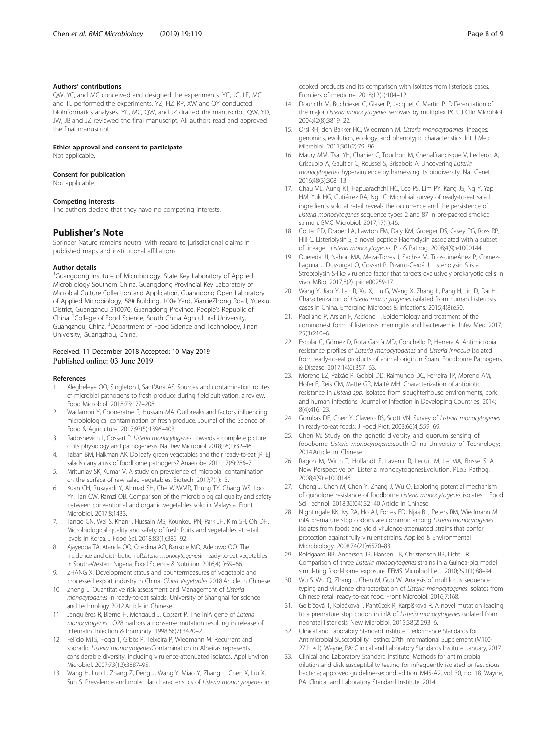#### <span id="page-7-0"></span>Authors' contributions

QW, YC, and MC conceived and designed the experiments. YC, JC, LF, MC and TL performed the experiments. YZ, HZ, RP, XW and QY conducted bioinformatics analyses. YC, MC, QW, and JZ drafted the manuscript. QW, YD, JW, JB and JZ reviewed the final manuscript. All authors read and approved the final manuscript.

#### Ethics approval and consent to participate

Not applicable.

#### Consent for publication

Not applicable.

#### Competing interests

The authors declare that they have no competing interests.

#### Publisher's Note

Springer Nature remains neutral with regard to jurisdictional claims in published maps and institutional affiliations.

#### Author details

<sup>1</sup>Guangdong Institute of Microbiology, State Key Laboratory of Applied Microbiology Southern China, Guangdong Provincial Key Laboratory of Microbial Culture Collection and Application, Guangdong Open Laboratory of Applied Microbiology, 58# Building, 100# Yard, XianlieZhong Road, Yuexiu District, Guangzhou 510070, Guangdong Province, People's Republic of China. <sup>2</sup>College of Food Science, South China Agricultural University, Guangzhou, China. <sup>3</sup>Department of Food Science and Technology, Jinan University, Guangzhou, China.

#### Received: 11 December 2018 Accepted: 10 May 2019 Published online: 03 June 2019

#### References

- 1. Alegbeleye OO, Singleton I, Sant'Ana AS. Sources and contamination routes of microbial pathogens to fresh produce during field cultivation: a review. Food Microbiol. 2018;73:177–208.
- 2. Wadamori Y, Gooneratne R, Hussain MA. Outbreaks and factors influencing microbiological contamination of fresh produce. Journal of the Science of Food & Agriculture. 2017;97(5):1396–403.
- 3. Radoshevich L, Cossart P. Listeria monocytogenes: towards a complete picture of its physiology and pathogenesis. Nat Rev Microbiol. 2018;16(1):32–46.
- 4. Taban BM, Halkman AK. Do leafy green vegetables and their ready-to-eat [RTE] salads carry a risk of foodborne pathogens? Anaerobe. 2011;17(6):286–7.
- 5. Mritunjay SK, Kumar V. A study on prevalence of microbial contamination on the surface of raw salad vegetables. Biotech. 2017;7(1):13.
- 6. Kuan CH, Rukayadi Y, Ahmad SH, Che WJWMR, Thung TY, Chang WS, Loo YY, Tan CW, Ramzi OB. Comparison of the microbiological quality and safety between conventional and organic vegetables sold in Malaysia. Front Microbiol. 2017;8:1433.
- 7. Tango CN, Wei S, Khan I, Hussain MS, Kounkeu PN, Park JH, Kim SH, Oh DH. Microbiological quality and safety of fresh fruits and vegetables at retail levels in Korea. J Food Sci. 2018;83(1):386–92.
- 8. Ajayeoba TA, Atanda OO, Obadina AO, Bankole MO, Adelowo OO. The incidence and distribution ofListeria monocytogenesin ready-to-eat vegetables in South-Western Nigeria. Food Science & Nutrition. 2016;4(1):59–66.
- 9. ZHANG X: Development status and countermeasures of vegetable and processed export industry in China. China Vegetables 2018.Article in Chinese.
- 10. Zheng L: Quantitative risk assessment and Management of Listeria monocytogenes in ready-to-eat salads. University of Shanghai for science and technology 2012.Article in Chinese.
- 11. Jonquières R, Bierne H, Mengaud J, Cossart P. The inlA gene of Listeria monocytogenes LO28 harbors a nonsense mutation resulting in release of Internalin. Infection & Immunity. 1998;66(7):3420–2.
- 12. Felício MTS, Hogg T, Gibbs P, Teixeira P, Wiedmann M. Recurrent and sporadic Listeria monocytogenesContamination in Alheiras represents considerable diversity, including virulence-attenuated isolates. Appl Environ Microbiol. 2007;73(12):3887–95.
- 13. Wang H, Luo L, Zhang Z, Deng J, Wang Y, Miao Y, Zhang L, Chen X, Liu X, Sun S. Prevalence and molecular characteristics of Listeria monocytogenes in

cooked products and its comparison with isolates from listeriosis cases. Frontiers of medicine. 2018;12(1):104–12.

- 14. Doumith M, Buchrieser C, Glaser P, Jacquet C, Martin P. Differentiation of the major Listeria monocytogenes serovars by multiplex PCR. J Clin Microbiol. 2004;42(8):3819–22.
- 15. Orsi RH, den Bakker HC, Wiedmann M. Listeria monocytogenes lineages: genomics, evolution, ecology, and phenotypic characteristics. Int J Med Microbiol. 2011;301(2):79–96.
- 16. Maury MM, Tsai YH, Charlier C, Touchon M, Chenalfrancisque V, Leclercq A, Criscuolo A, Gaultier C, Roussel S, Brisabois A. Uncovering Listeria monocytogenes hypervirulence by harnessing its biodiversity. Nat Genet. 2016;48(3):308–13.
- 17. Chau ML, Aung KT, Hapuarachchi HC, Lee PS, Lim PY, Kang JS, Ng Y, Yap HM, Yuk HG, Gutiérrez RA, Ng LC. Microbial survey of ready-to-eat salad ingredients sold at retail reveals the occurrence and the persistence of Listeria monocytogenes sequence types 2 and 87 in pre-packed smoked salmon. BMC Microbiol. 2017;17(1):46.
- 18. Cotter PD, Draper LA, Lawton EM, Daly KM, Groeger DS, Casey PG, Ross RP, Hill C. Listeriolysin S, a novel peptide Haemolysin associated with a subset of lineage I Listeria monocytogenes. PLoS Pathog. 2008;4(9):e1000144.
- 19. Quereda JJ, Nahori MA, Meza-Torres J, Sachse M, Titos-JimeÂnez P, Gomez-Laguna J, Dussurget O, Cossart P, Pizarro-Cerdá J. Listeriolysin S is a Streptolysin S-like virulence factor that targets exclusively prokaryotic cells in vivo. MBio. 2017;8(2). pii: e00259-17.
- 20. Wang Y, Jiao Y, Lan R, Xu X, Liu G, Wang X, Zhang L, Pang H, Jin D, Dai H. Characterization of Listeria monocytogenes isolated from human Listeriosis cases in China. Emerging Microbes & Infections. 2015;4(8):e50.
- 21. Pagliano P, Arslan F, Ascione T. Epidemiology and treatment of the commonest form of listeriosis: meningitis and bacteraemia. Infez Med. 2017; 25(3):210–6.
- 22. Escolar C, Gómez D, Rota García MD, Conchello P, Herrera A. Antimicrobial resistance profiles of Listeria monocytogenes and Listeria innocua isolated from ready-to-eat products of animal origin in Spain. Foodborne Pathogens & Disease. 2017;14(6):357–63.
- 23. Moreno LZ, Paixão R, Gobbi DD, Raimundo DC, Ferreira TP, Moreno AM, Hofer E, Reis CM, Matté GR, Matté MH. Characterization of antibiotic resistance in Listeria spp. isolated from slaughterhouse environments, pork and human infections. Journal of Infection in Developing Countries. 2014; 8(4):416–23.
- 24. Gombas DE, Chen Y, Clavero RS, Scott VN. Survey of Listeria monocytogenes in ready-to-eat foods. J Food Prot. 2003;66(4):559–69.
- 25. Chen M: Study on the genetic diversity and quorum sensing of foodborne Listeria monocytogenessouth China University of Technology; 2014.Article in Chinese.
- 26. Ragon M, Wirth T, Hollandt F, Lavenir R, Lecuit M, Le MA, Brisse S. A New Perspective on Listeria monocytogenesEvolution. PLoS Pathog. 2008;4(9):e1000146.
- 27. Cheng J, Chen M, Chen Y, Zhang J, Wu Q. Exploring potential mechanism of quinolone resistance of foodborne Listeria monocytogenes isolates. J Food Sci Technol. 2018;36(04):32–40 Article in Chinese.
- 28. Nightingale KK, Ivy RA, Ho AJ, Fortes ED, Njaa BL, Peters RM, Wiedmann M. inlA premature stop codons are common among Listeria monocytogenes isolates from foods and yield virulence-attenuated strains that confer protection against fully virulent strains. Applied & Environmental Microbiology. 2008;74(21):6570–83.
- 29. Roldgaard BB, Andersen JB, Hansen TB, Christensen BB, Licht TR. Comparison of three Listeria monocytogenes strains in a Guinea-pig model simulating food-borne exposure. FEMS Microbiol Lett. 2010;291(1):88–94.
- 30. Wu S, Wu Q, Zhang J, Chen M, Guo W. Analysis of multilocus sequence typing and virulence characterization of Listeria monocytogenes isolates from Chinese retail ready-to-eat food. Front Microbiol. 2016;7:168.
- 31. Gelbíčová T, Koláčková I, Pantůček R, Karpíšková R. A novel mutation leading to a premature stop codon in inlA of Listeria monocytogenes isolated from neonatal listeriosis. New Microbiol. 2015;38(2):293–6.
- 32. Clinical and Laboratory Standard Institute: Performance Standards for Antimicrobial Susceptibility Testing: 27th Informational Supplement (M100- 27th ed.). Wayne, PA: Clinical and Laboratory Standards Institute. January, 2017.
- 33. Clinical and Laboratory Standard Institute: Methods for antimicrobial dilution and disk susceptibility testing for infrequently isolated or fastidious bacteria; approved guideline-second edition. M45-A2, vol. 30, no. 18. Wayne, PA: Clinical and Laboratory Standard Institute. 2014.